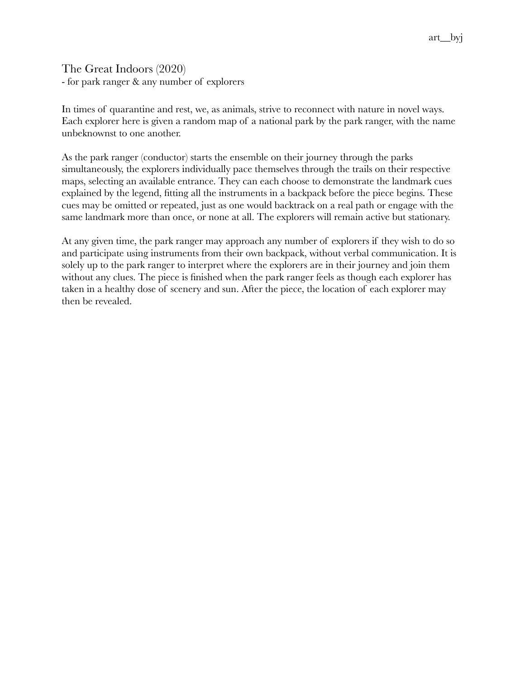The Great Indoors (2020) - for park ranger & any number of explorers

In times of quarantine and rest, we, as animals, strive to reconnect with nature in novel ways. Each explorer here is given a random map of a national park by the park ranger, with the name unbeknownst to one another.

As the park ranger (conductor) starts the ensemble on their journey through the parks simultaneously, the explorers individually pace themselves through the trails on their respective maps, selecting an available entrance. They can each choose to demonstrate the landmark cues explained by the legend, fitting all the instruments in a backpack before the piece begins. These cues may be omitted or repeated, just as one would backtrack on a real path or engage with the same landmark more than once, or none at all. The explorers will remain active but stationary.

At any given time, the park ranger may approach any number of explorers if they wish to do so and participate using instruments from their own backpack, without verbal communication. It is solely up to the park ranger to interpret where the explorers are in their journey and join them without any clues. The piece is finished when the park ranger feels as though each explorer has taken in a healthy dose of scenery and sun. After the piece, the location of each explorer may then be revealed.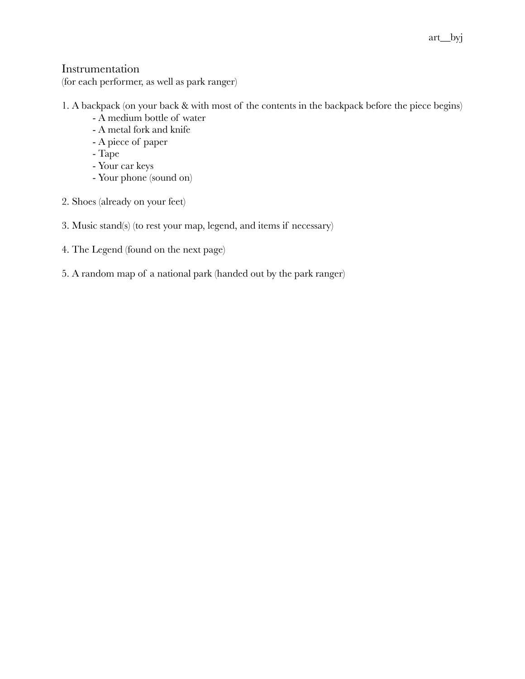## Instrumentation

(for each performer, as well as park ranger)

## 1. A backpack (on your back & with most of the contents in the backpack before the piece begins)

- A medium bottle of water
- A metal fork and knife
- A piece of paper
- Tape
- Your car keys
- Your phone (sound on)
- 2. Shoes (already on your feet)
- 3. Music stand(s) (to rest your map, legend, and items if necessary)
- 4. The Legend (found on the next page)
- 5. A random map of a national park (handed out by the park ranger)